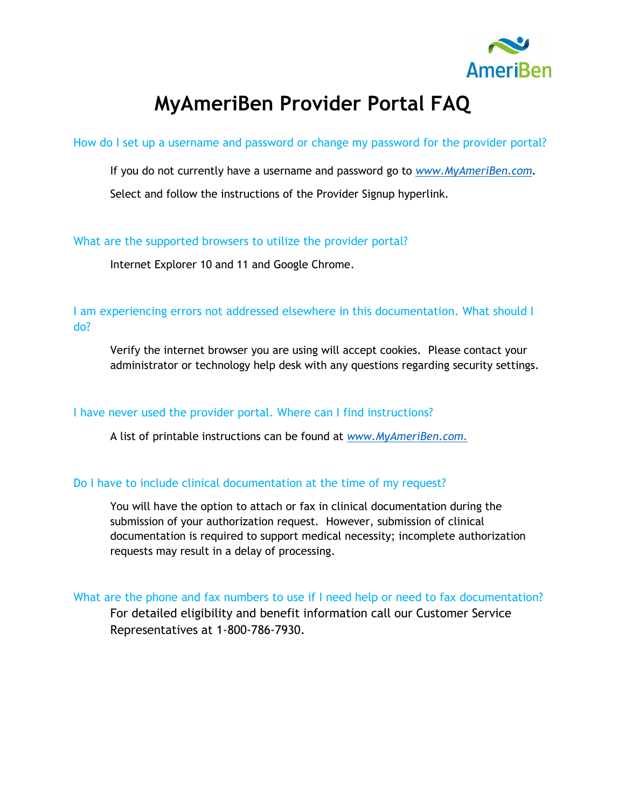

# **MyAmeriBen Provider Portal FAQ**

How do I set up a username and password or change my password for the provider portal?

If you do not currently have a username and password go to *[www.MyAmeriBen.com.](http://www.myameriben.com/)*

Select and follow the instructions of the Provider Signup hyperlink*.*

What are the supported browsers to utilize the provider portal?

Internet Explorer 10 and 11 and Google Chrome.

I am experiencing errors not addressed elsewhere in this documentation. What should I do?

Verify the internet browser you are using will accept cookies. Please contact your administrator or technology help desk with any questions regarding security settings.

## I have never used the provider portal. Where can I find instructions?

A list of printable instructions can be found at *[www.MyAmeriBen.com](http://www.myameriben.com/)*.

## Do I have to include clinical documentation at the time of my request?

You will have the option to attach or fax in clinical documentation during the submission of your authorization request. However, submission of clinical documentation is required to support medical necessity; incomplete authorization requests may result in a delay of processing.

What are the phone and fax numbers to use if I need help or need to fax documentation? For detailed eligibility and benefit information call our Customer Service Representatives at 1-800-786-7930.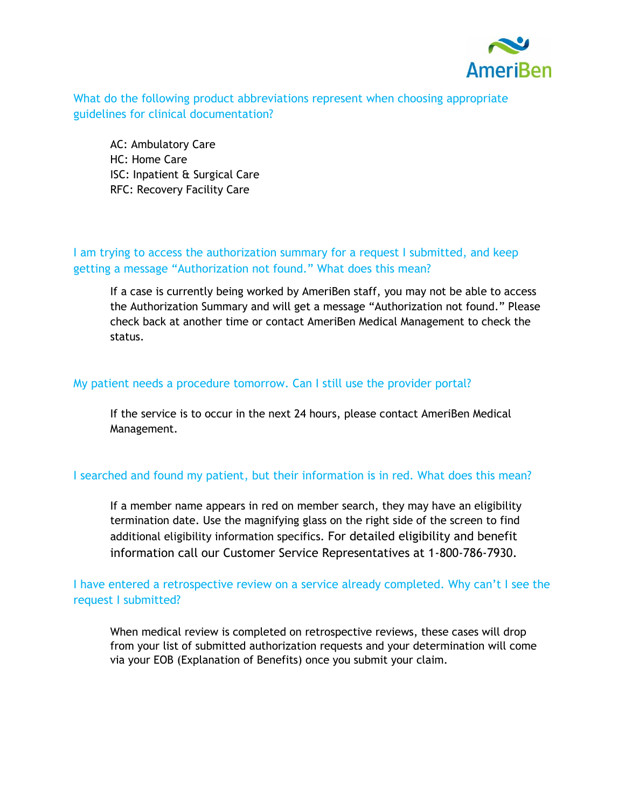

What do the following product abbreviations represent when choosing appropriate guidelines for clinical documentation?

AC: Ambulatory Care HC: Home Care ISC: Inpatient & Surgical Care RFC: Recovery Facility Care

## I am trying to access the authorization summary for a request I submitted, and keep getting a message "Authorization not found." What does this mean?

If a case is currently being worked by AmeriBen staff, you may not be able to access the Authorization Summary and will get a message "Authorization not found." Please check back at another time or contact AmeriBen Medical Management to check the status.

#### My patient needs a procedure tomorrow. Can I still use the provider portal?

If the service is to occur in the next 24 hours, please contact AmeriBen Medical Management.

## I searched and found my patient, but their information is in red. What does this mean?

If a member name appears in red on member search, they may have an eligibility termination date. Use the magnifying glass on the right side of the screen to find additional eligibility information specifics. For detailed eligibility and benefit information call our Customer Service Representatives at 1-800-786-7930.

# I have entered a retrospective review on a service already completed. Why can't I see the request I submitted?

When medical review is completed on retrospective reviews, these cases will drop from your list of submitted authorization requests and your determination will come via your EOB (Explanation of Benefits) once you submit your claim.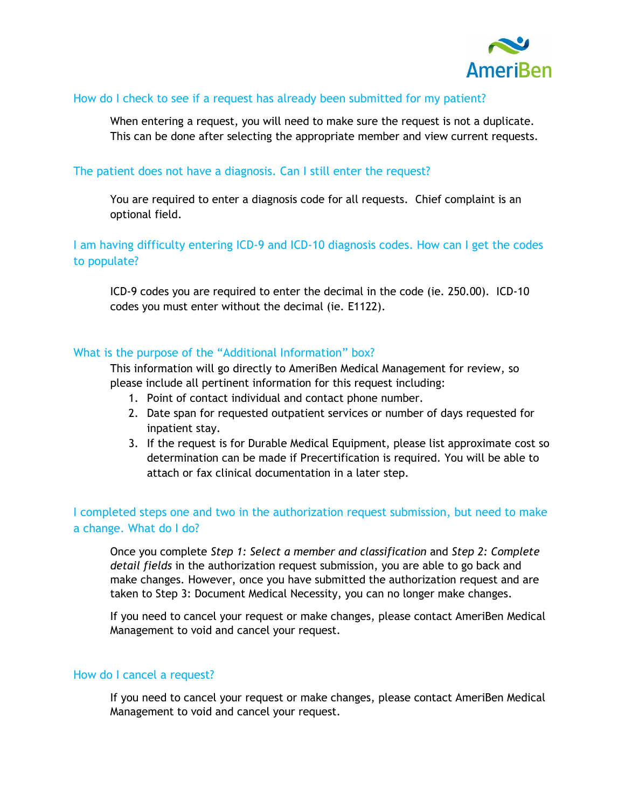

#### How do I check to see if a request has already been submitted for my patient?

When entering a request, you will need to make sure the request is not a duplicate. This can be done after selecting the appropriate member and view current requests.

#### The patient does not have a diagnosis. Can I still enter the request?

You are required to enter a diagnosis code for all requests. Chief complaint is an optional field.

# I am having difficulty entering ICD-9 and ICD-10 diagnosis codes. How can I get the codes to populate?

ICD-9 codes you are required to enter the decimal in the code (ie. 250.00). ICD-10 codes you must enter without the decimal (ie. E1122).

#### What is the purpose of the "Additional Information" box?

This information will go directly to AmeriBen Medical Management for review, so please include all pertinent information for this request including:

- 1. Point of contact individual and contact phone number.
- 2. Date span for requested outpatient services or number of days requested for inpatient stay.
- 3. If the request is for Durable Medical Equipment, please list approximate cost so determination can be made if Precertification is required. You will be able to attach or fax clinical documentation in a later step.

# I completed steps one and two in the authorization request submission, but need to make a change. What do I do?

Once you complete *Step 1: Select a member and classification* and *Step 2: Complete detail fields* in the authorization request submission, you are able to go back and make changes. However, once you have submitted the authorization request and are taken to Step 3: Document Medical Necessity, you can no longer make changes.

If you need to cancel your request or make changes, please contact AmeriBen Medical Management to void and cancel your request.

#### How do I cancel a request?

If you need to cancel your request or make changes, please contact AmeriBen Medical Management to void and cancel your request.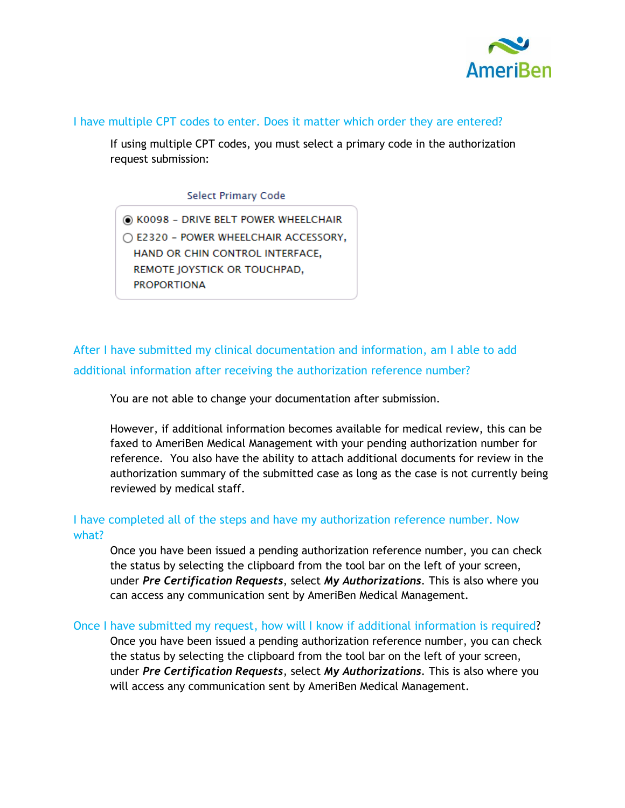

#### I have multiple CPT codes to enter. Does it matter which order they are entered?

If using multiple CPT codes, you must select a primary code in the authorization request submission:

#### **Select Primary Code**

C K0098 - DRIVE BELT POWER WHEELCHAIR C E2320 - POWER WHEELCHAIR ACCESSORY, HAND OR CHIN CONTROL INTERFACE, REMOTE JOYSTICK OR TOUCHPAD, **PROPORTIONA** 

After I have submitted my clinical documentation and information, am I able to add additional information after receiving the authorization reference number?

You are not able to change your documentation after submission.

However, if additional information becomes available for medical review, this can be faxed to AmeriBen Medical Management with your pending authorization number for reference. You also have the ability to attach additional documents for review in the authorization summary of the submitted case as long as the case is not currently being reviewed by medical staff.

# I have completed all of the steps and have my authorization reference number. Now what?

Once you have been issued a pending authorization reference number, you can check the status by selecting the clipboard from the tool bar on the left of your screen, under *Pre Certification Requests*, select *My Authorizations*. This is also where you can access any communication sent by AmeriBen Medical Management.

Once I have submitted my request, how will I know if additional information is required? Once you have been issued a pending authorization reference number, you can check the status by selecting the clipboard from the tool bar on the left of your screen, under *Pre Certification Requests*, select *My Authorizations*. This is also where you will access any communication sent by AmeriBen Medical Management.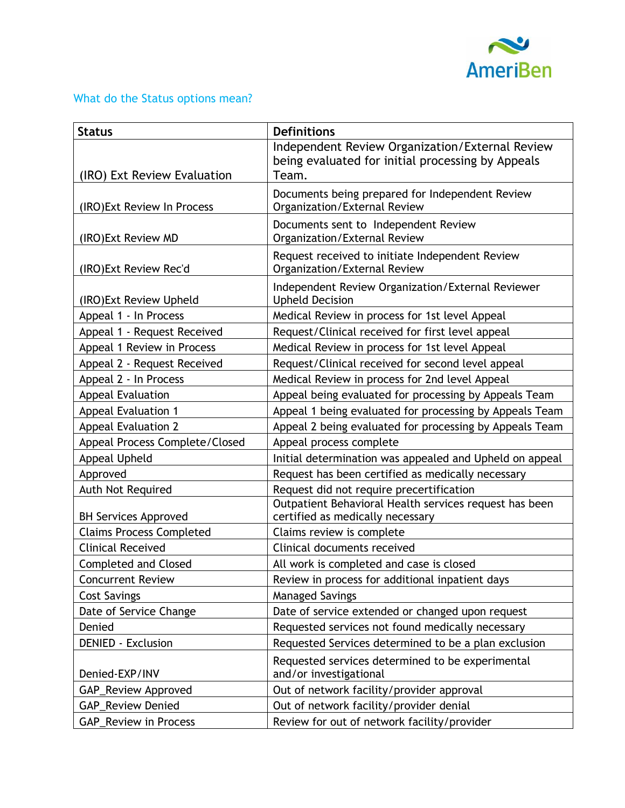

# What do the Status options mean?

| <b>Status</b>                   | <b>Definitions</b>                                                                                            |
|---------------------------------|---------------------------------------------------------------------------------------------------------------|
| (IRO) Ext Review Evaluation     | Independent Review Organization/External Review<br>being evaluated for initial processing by Appeals<br>Team. |
| (IRO) Ext Review In Process     | Documents being prepared for Independent Review<br>Organization/External Review                               |
| (IRO) Ext Review MD             | Documents sent to Independent Review<br>Organization/External Review                                          |
| (IRO) Ext Review Rec'd          | Request received to initiate Independent Review<br>Organization/External Review                               |
| (IRO) Ext Review Upheld         | Independent Review Organization/External Reviewer<br><b>Upheld Decision</b>                                   |
| Appeal 1 - In Process           | Medical Review in process for 1st level Appeal                                                                |
| Appeal 1 - Request Received     | Request/Clinical received for first level appeal                                                              |
| Appeal 1 Review in Process      | Medical Review in process for 1st level Appeal                                                                |
| Appeal 2 - Request Received     | Request/Clinical received for second level appeal                                                             |
| Appeal 2 - In Process           | Medical Review in process for 2nd level Appeal                                                                |
| <b>Appeal Evaluation</b>        | Appeal being evaluated for processing by Appeals Team                                                         |
| <b>Appeal Evaluation 1</b>      | Appeal 1 being evaluated for processing by Appeals Team                                                       |
| <b>Appeal Evaluation 2</b>      | Appeal 2 being evaluated for processing by Appeals Team                                                       |
| Appeal Process Complete/Closed  | Appeal process complete                                                                                       |
| Appeal Upheld                   | Initial determination was appealed and Upheld on appeal                                                       |
| Approved                        | Request has been certified as medically necessary                                                             |
| Auth Not Required               | Request did not require precertification                                                                      |
| <b>BH Services Approved</b>     | Outpatient Behavioral Health services request has been<br>certified as medically necessary                    |
| <b>Claims Process Completed</b> | Claims review is complete                                                                                     |
| <b>Clinical Received</b>        | Clinical documents received                                                                                   |
| <b>Completed and Closed</b>     | All work is completed and case is closed                                                                      |
| <b>Concurrent Review</b>        | Review in process for additional inpatient days                                                               |
| <b>Cost Savings</b>             | <b>Managed Savings</b>                                                                                        |
| Date of Service Change          | Date of service extended or changed upon request                                                              |
| Denied                          | Requested services not found medically necessary                                                              |
| <b>DENIED - Exclusion</b>       | Requested Services determined to be a plan exclusion                                                          |
| Denied-EXP/INV                  | Requested services determined to be experimental<br>and/or investigational                                    |
| GAP_Review Approved             | Out of network facility/provider approval                                                                     |
| <b>GAP_Review Denied</b>        | Out of network facility/provider denial                                                                       |
| <b>GAP_Review in Process</b>    | Review for out of network facility/provider                                                                   |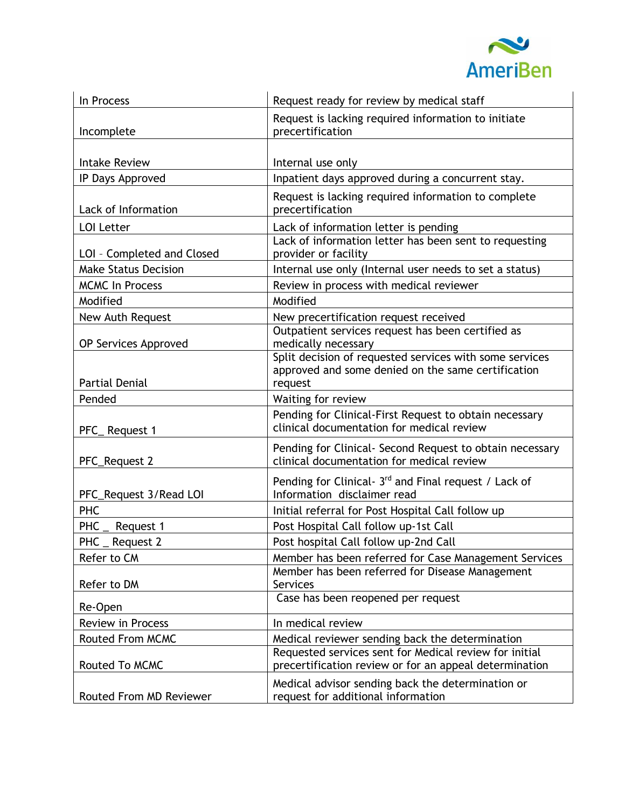

| In Process                  | Request ready for review by medical staff                                                                                |
|-----------------------------|--------------------------------------------------------------------------------------------------------------------------|
|                             | Request is lacking required information to initiate                                                                      |
| Incomplete                  | precertification                                                                                                         |
|                             |                                                                                                                          |
| <b>Intake Review</b>        | Internal use only                                                                                                        |
| IP Days Approved            | Inpatient days approved during a concurrent stay.                                                                        |
| Lack of Information         | Request is lacking required information to complete<br>precertification                                                  |
| <b>LOI Letter</b>           | Lack of information letter is pending                                                                                    |
| LOI - Completed and Closed  | Lack of information letter has been sent to requesting<br>provider or facility                                           |
| <b>Make Status Decision</b> | Internal use only (Internal user needs to set a status)                                                                  |
| <b>MCMC In Process</b>      | Review in process with medical reviewer                                                                                  |
| Modified                    | Modified                                                                                                                 |
| New Auth Request            | New precertification request received                                                                                    |
| OP Services Approved        | Outpatient services request has been certified as<br>medically necessary                                                 |
| <b>Partial Denial</b>       | Split decision of requested services with some services<br>approved and some denied on the same certification<br>request |
| Pended                      | Waiting for review                                                                                                       |
| PFC_Request 1               | Pending for Clinical-First Request to obtain necessary<br>clinical documentation for medical review                      |
| PFC_Request 2               | Pending for Clinical- Second Request to obtain necessary<br>clinical documentation for medical review                    |
| PFC_Request 3/Read LOI      | Pending for Clinical- 3 <sup>rd</sup> and Final request / Lack of<br>Information disclaimer read                         |
| <b>PHC</b>                  | Initial referral for Post Hospital Call follow up                                                                        |
| PHC<br>Request 1            | Post Hospital Call follow up-1st Call                                                                                    |
| <b>PHC</b><br>Request 2     | Post hospital Call follow up-2nd Call                                                                                    |
| Refer to CM                 | Member has been referred for Case Management Services                                                                    |
| Refer to DM                 | Member has been referred for Disease Management<br><b>Services</b>                                                       |
| Re-Open                     | Case has been reopened per request                                                                                       |
| <b>Review in Process</b>    | In medical review                                                                                                        |
| Routed From MCMC            | Medical reviewer sending back the determination                                                                          |
| Routed To MCMC              | Requested services sent for Medical review for initial<br>precertification review or for an appeal determination         |
| Routed From MD Reviewer     | Medical advisor sending back the determination or<br>request for additional information                                  |